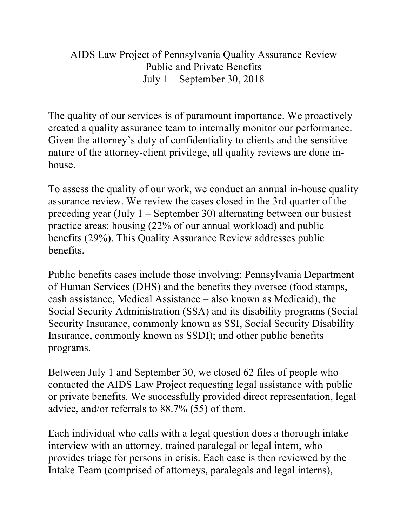AIDS Law Project of Pennsylvania Quality Assurance Review Public and Private Benefits July 1 – September 30, 2018

The quality of our services is of paramount importance. We proactively created a quality assurance team to internally monitor our performance. Given the attorney's duty of confidentiality to clients and the sensitive nature of the attorney-client privilege, all quality reviews are done inhouse.

To assess the quality of our work, we conduct an annual in-house quality assurance review. We review the cases closed in the 3rd quarter of the preceding year (July 1 – September 30) alternating between our busiest practice areas: housing (22% of our annual workload) and public benefits (29%). This Quality Assurance Review addresses public benefits.

Public benefits cases include those involving: Pennsylvania Department of Human Services (DHS) and the benefits they oversee (food stamps, cash assistance, Medical Assistance – also known as Medicaid), the Social Security Administration (SSA) and its disability programs (Social Security Insurance, commonly known as SSI, Social Security Disability Insurance, commonly known as SSDI); and other public benefits programs.

Between July 1 and September 30, we closed 62 files of people who contacted the AIDS Law Project requesting legal assistance with public or private benefits. We successfully provided direct representation, legal advice, and/or referrals to 88.7% (55) of them.

Each individual who calls with a legal question does a thorough intake interview with an attorney, trained paralegal or legal intern, who provides triage for persons in crisis. Each case is then reviewed by the Intake Team (comprised of attorneys, paralegals and legal interns),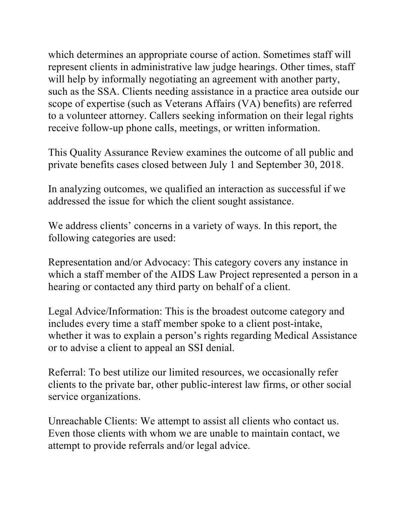which determines an appropriate course of action. Sometimes staff will represent clients in administrative law judge hearings. Other times, staff will help by informally negotiating an agreement with another party, such as the SSA. Clients needing assistance in a practice area outside our scope of expertise (such as Veterans Affairs (VA) benefits) are referred to a volunteer attorney. Callers seeking information on their legal rights receive follow-up phone calls, meetings, or written information.

This Quality Assurance Review examines the outcome of all public and private benefits cases closed between July 1 and September 30, 2018.

In analyzing outcomes, we qualified an interaction as successful if we addressed the issue for which the client sought assistance.

We address clients' concerns in a variety of ways. In this report, the following categories are used:

Representation and/or Advocacy: This category covers any instance in which a staff member of the AIDS Law Project represented a person in a hearing or contacted any third party on behalf of a client.

Legal Advice/Information: This is the broadest outcome category and includes every time a staff member spoke to a client post-intake, whether it was to explain a person's rights regarding Medical Assistance or to advise a client to appeal an SSI denial.

Referral: To best utilize our limited resources, we occasionally refer clients to the private bar, other public-interest law firms, or other social service organizations.

Unreachable Clients: We attempt to assist all clients who contact us. Even those clients with whom we are unable to maintain contact, we attempt to provide referrals and/or legal advice.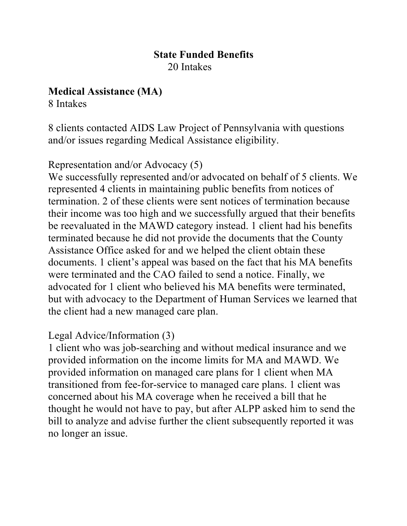#### **State Funded Benefits** 20 Intakes

### **Medical Assistance (MA)**

8 Intakes

8 clients contacted AIDS Law Project of Pennsylvania with questions and/or issues regarding Medical Assistance eligibility.

Representation and/or Advocacy (5)

We successfully represented and/or advocated on behalf of 5 clients. We represented 4 clients in maintaining public benefits from notices of termination. 2 of these clients were sent notices of termination because their income was too high and we successfully argued that their benefits be reevaluated in the MAWD category instead. 1 client had his benefits terminated because he did not provide the documents that the County Assistance Office asked for and we helped the client obtain these documents. 1 client's appeal was based on the fact that his MA benefits were terminated and the CAO failed to send a notice. Finally, we advocated for 1 client who believed his MA benefits were terminated, but with advocacy to the Department of Human Services we learned that the client had a new managed care plan.

# Legal Advice/Information (3)

1 client who was job-searching and without medical insurance and we provided information on the income limits for MA and MAWD. We provided information on managed care plans for 1 client when MA transitioned from fee-for-service to managed care plans. 1 client was concerned about his MA coverage when he received a bill that he thought he would not have to pay, but after ALPP asked him to send the bill to analyze and advise further the client subsequently reported it was no longer an issue.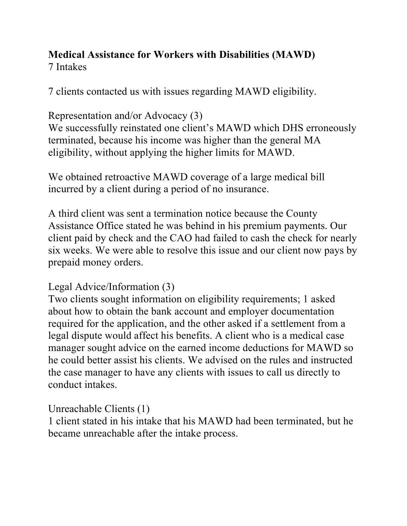#### **Medical Assistance for Workers with Disabilities (MAWD)** 7 Intakes

7 clients contacted us with issues regarding MAWD eligibility.

Representation and/or Advocacy (3)

We successfully reinstated one client's MAWD which DHS erroneously terminated, because his income was higher than the general MA eligibility, without applying the higher limits for MAWD.

We obtained retroactive MAWD coverage of a large medical bill incurred by a client during a period of no insurance.

A third client was sent a termination notice because the County Assistance Office stated he was behind in his premium payments. Our client paid by check and the CAO had failed to cash the check for nearly six weeks. We were able to resolve this issue and our client now pays by prepaid money orders.

Legal Advice/Information (3)

Two clients sought information on eligibility requirements; 1 asked about how to obtain the bank account and employer documentation required for the application, and the other asked if a settlement from a legal dispute would affect his benefits. A client who is a medical case manager sought advice on the earned income deductions for MAWD so he could better assist his clients. We advised on the rules and instructed the case manager to have any clients with issues to call us directly to conduct intakes.

Unreachable Clients (1)

1 client stated in his intake that his MAWD had been terminated, but he became unreachable after the intake process.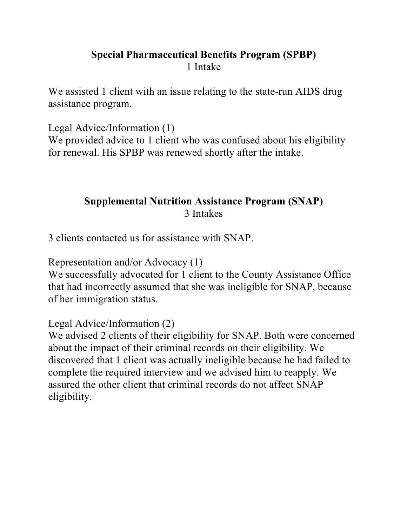## **Special Pharmaceutical Benefits Program (SPBP)** 1 Intake

We assisted 1 client with an issue relating to the state-run AIDS drug assistance program.

Legal Advice/Information (1) We provided advice to 1 client who was confused about his eligibility for renewal. His SPBP was renewed shortly after the intake.

## **Supplemental Nutrition Assistance Program (SNAP)** 3 Intakes

3 clients contacted us for assistance with SNAP.

Representation and/or Advocacy (1)

We successfully advocated for 1 client to the County Assistance Office that had incorrectly assumed that she was ineligible for SNAP, because of her immigration status.

Legal Advice/Information (2)

We advised 2 clients of their eligibility for SNAP. Both were concerned about the impact of their criminal records on their eligibility. We discovered that 1 client was actually ineligible because he had failed to complete the required interview and we advised him to reapply. We assured the other client that criminal records do not affect SNAP eligibility.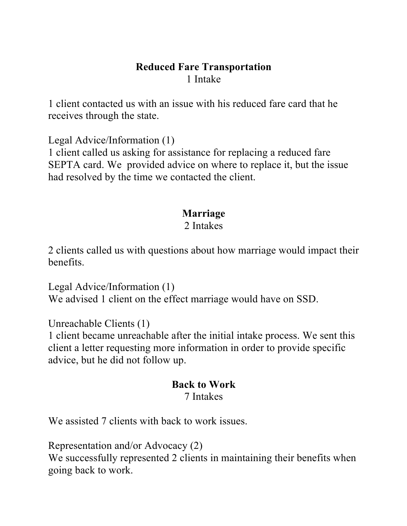### **Reduced Fare Transportation** 1 Intake

1 client contacted us with an issue with his reduced fare card that he receives through the state.

Legal Advice/Information (1)

1 client called us asking for assistance for replacing a reduced fare SEPTA card. We provided advice on where to replace it, but the issue had resolved by the time we contacted the client.

#### **Marriage** 2 Intakes

2 clients called us with questions about how marriage would impact their benefits.

Legal Advice/Information (1) We advised 1 client on the effect marriage would have on SSD.

Unreachable Clients (1)

1 client became unreachable after the initial intake process. We sent this client a letter requesting more information in order to provide specific advice, but he did not follow up.

#### **Back to Work** 7 Intakes

We assisted 7 clients with back to work issues.

Representation and/or Advocacy (2) We successfully represented 2 clients in maintaining their benefits when going back to work.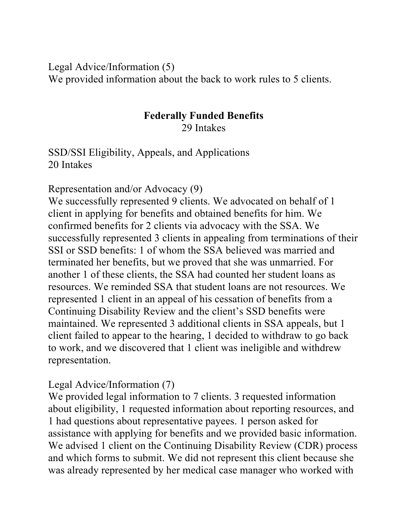Legal Advice/Information (5) We provided information about the back to work rules to 5 clients.

#### **Federally Funded Benefits** 29 Intakes

SSD/SSI Eligibility, Appeals, and Applications 20 Intakes

Representation and/or Advocacy (9)

We successfully represented 9 clients. We advocated on behalf of 1 client in applying for benefits and obtained benefits for him. We confirmed benefits for 2 clients via advocacy with the SSA. We successfully represented 3 clients in appealing from terminations of their SSI or SSD benefits: 1 of whom the SSA believed was married and terminated her benefits, but we proved that she was unmarried. For another 1 of these clients, the SSA had counted her student loans as resources. We reminded SSA that student loans are not resources. We represented 1 client in an appeal of his cessation of benefits from a Continuing Disability Review and the client's SSD benefits were maintained. We represented 3 additional clients in SSA appeals, but 1 client failed to appear to the hearing, 1 decided to withdraw to go back to work, and we discovered that 1 client was ineligible and withdrew representation.

### Legal Advice/Information (7)

We provided legal information to 7 clients. 3 requested information about eligibility, 1 requested information about reporting resources, and 1 had questions about representative payees. 1 person asked for assistance with applying for benefits and we provided basic information. We advised 1 client on the Continuing Disability Review (CDR) process and which forms to submit. We did not represent this client because she was already represented by her medical case manager who worked with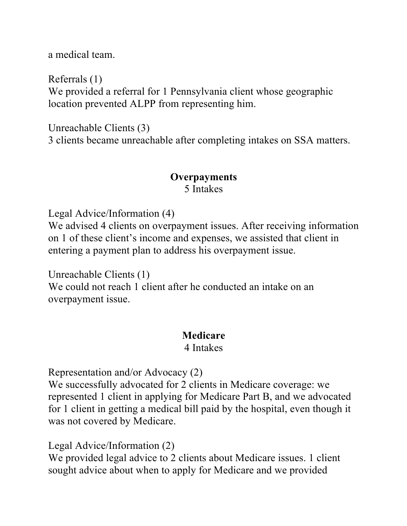a medical team.

Referrals (1) We provided a referral for 1 Pennsylvania client whose geographic location prevented ALPP from representing him.

Unreachable Clients (3) 3 clients became unreachable after completing intakes on SSA matters.

## **Overpayments** 5 Intakes

Legal Advice/Information (4)

We advised 4 clients on overpayment issues. After receiving information on 1 of these client's income and expenses, we assisted that client in entering a payment plan to address his overpayment issue.

Unreachable Clients (1)

We could not reach 1 client after he conducted an intake on an overpayment issue.

### **Medicare**

#### 4 Intakes

Representation and/or Advocacy (2)

We successfully advocated for 2 clients in Medicare coverage: we represented 1 client in applying for Medicare Part B, and we advocated for 1 client in getting a medical bill paid by the hospital, even though it was not covered by Medicare.

Legal Advice/Information (2)

We provided legal advice to 2 clients about Medicare issues. 1 client sought advice about when to apply for Medicare and we provided